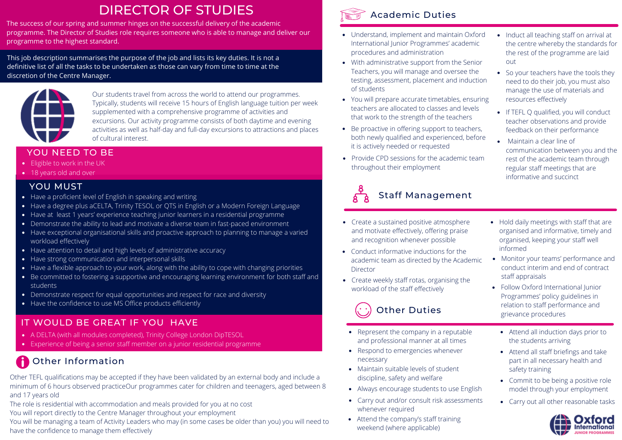# DIRECTOR OF STUDIES

The success of our spring and summer hinges on the successful delivery of the academic programme. The Director of Studies role requires someone who is able to manage and deliver our programme to the highest standard.

This job description summarises the purpose of the job and lists its key duties. It is not a definitive list of all the tasks to be undertaken as those can vary from time to time at the discretion of the Centre Manager.



Our students travel from across the world to attend our programmes. Typically, students will receive 15 hours of English language tuition per week supplemented with a comprehensive programme of activities and excursions. Our activity programme consists of both daytime and evening activities as well as half-day and full-day excursions to attractions and places of cultural interest.

#### YOU NEED TO BE

- **Eligible to work in the UK**
- 18 years old and over

### YOU MUST

- Have a proficient level of English in speaking and writing
- Have a degree plus aCELTA, Trinity TESOL or QTS in English or a Modern Foreign Language
- Have at least 1 years' experience teaching junior learners in a residential programme
- Demonstrate the ability to lead and motivate a diverse team in fast-paced environment
- Have exceptional organisational skills and proactive approach to planning to manage a varied workload effectively
- Have attention to detail and high levels of administrative accuracy
- Have strong communication and interpersonal skills
- Have a flexible approach to your work, along with the ability to cope with changing priorities
- Be committed to fostering a supportive and encouraging learning environment for both staff and students
- Demonstrate respect for equal opportunities and respect for race and diversity
- Have the confidence to use MS Office products efficiently

# IT WOULD BE GREAT IF YOU HAVE

- A DELTA (with all modules completed), Trinity College London DipTESOL
- Experience of being a senior staff member on a junior residential programme

# **Co** Other Information

Other TEFL qualifications may be accepted if they have been validated by an external body and include a minimum of 6 hours observed practiceOur programmes cater for children and teenagers, aged between 8 and 17 years old

The role is residential with accommodation and meals provided for you at no cost

You will report directly to the Centre Manager throughout your employment

You will be managing a team of Activity Leaders who may (in some cases be older than you) you will need to have the confidence to manage them effectively



## Academic Duties

- Understand, implement and maintain Oxford International Junior Programmes' academic procedures and administration
- With administrative support from the Senior out Teachers, you will manage and oversee the testing, assessment, placement and induction of students
- You will prepare accurate timetables, ensuring resources effectively teachers are allocated to classes and levels that work to the strength of the teachers
- Be proactive in offering support to teachers, both newly qualified and experienced, before it is actively needed or requested **Contract Contract Contract in the contract of** it is actively needed or requested
- Provide CPD sessions for the academic team throughout their employment

# Staff Management

- Create a sustained positive atmosphere and motivate effectively, offering praise and recognition whenever possible
- Conduct informative inductions for the academic team as directed by the Academic Director
- Create weekly staff rotas, organising the workload of the staff effectively



- Represent the company in a reputable and professional manner at all times
- Respond to emergencies whenever necessary
- Maintain suitable levels of student discipline, safety and welfare
- Always encourage students to use English
- Carry out and/or consult risk assessments whenever required
- Attend the company's staff training weekend (where applicable)
- Induct all teaching staff on arrival at the centre whereby the standards for the rest of the programme are laid
- So your teachers have the tools they need to do their job, you must also manage the use of materials and
- If TEFL Q qualified, you will conduct teacher observations and provide feedback on their performance
- communication between you and the rest of the academic team through regular staff meetings that are informative and succinct
- Hold daily meetings with staff that are organised and informative, timely and organised, keeping your staff well informed
- Monitor your teams' performance and conduct interim and end of contract staff appraisals
- Follow Oxford International Junior Programmes' policy guidelines in relation to staff performance and grievance procedures
	- Attend all induction days prior to the students arriving
	- Attend all staff briefings and take part in all necessary health and safety training
	- Commit to be being a positive role model through your employment
- Carry out all other reasonable tasks